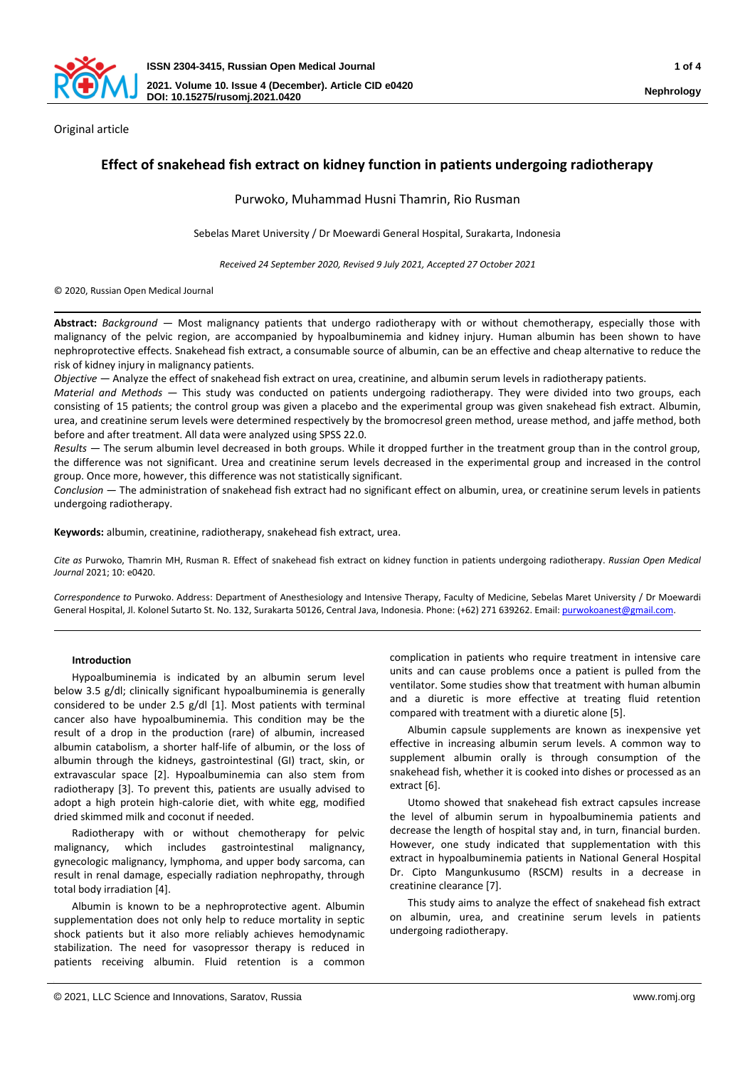

Original article

# **Effect of snakehead fish extract on kidney function in patients undergoing radiotherapy**

Purwoko, Muhammad Husni Thamrin, Rio Rusman

Sebelas Maret University / Dr Moewardi General Hospital, Surakarta, Indonesia

*Received 24 September 2020, Revised 9 July 2021, Accepted 27 October 2021*

© 2020, Russian Open Medical Journal

**Abstract:** *Background —* Most malignancy patients that undergo radiotherapy with or without chemotherapy, especially those with malignancy of the pelvic region, are accompanied by hypoalbuminemia and kidney injury. Human albumin has been shown to have nephroprotective effects. Snakehead fish extract, a consumable source of albumin, can be an effective and cheap alternative to reduce the risk of kidney injury in malignancy patients.

*Objective* — Analyze the effect of snakehead fish extract on urea, creatinine, and albumin serum levels in radiotherapy patients.

*Material and Methods —* This study was conducted on patients undergoing radiotherapy. They were divided into two groups, each consisting of 15 patients; the control group was given a placebo and the experimental group was given snakehead fish extract. Albumin, urea, and creatinine serum levels were determined respectively by the bromocresol green method, urease method, and jaffe method, both before and after treatment. All data were analyzed using SPSS 22.0.

*Results —* The serum albumin level decreased in both groups. While it dropped further in the treatment group than in the control group, the difference was not significant. Urea and creatinine serum levels decreased in the experimental group and increased in the control group. Once more, however, this difference was not statistically significant.

*Conclusion —* The administration of snakehead fish extract had no significant effect on albumin, urea, or creatinine serum levels in patients undergoing radiotherapy.

**Keywords:** albumin, creatinine, radiotherapy, snakehead fish extract, urea.

*Cite as* Purwoko, Thamrin MH, Rusman R. Effect of snakehead fish extract on kidney function in patients undergoing radiotherapy. *Russian Open Medical Journal* 2021; 10: e0420.

*Correspondence to* Purwoko. Address: Department of Anesthesiology and Intensive Therapy, Faculty of Medicine, Sebelas Maret University / Dr Moewardi General Hospital, Jl. Kolonel Sutarto St. No. 132, Surakarta 50126, Central Java, Indonesia. Phone: (+62) 271 639262. Email[: purwokoanest@gmail.com.](mailto:purwokoanest@gmail.com)

# **Introduction**

Hypoalbuminemia is indicated by an albumin serum level below 3.5 g/dl; clinically significant hypoalbuminemia is generally considered to be under 2.5 g/dl [1]. Most patients with terminal cancer also have hypoalbuminemia. This condition may be the result of a drop in the production (rare) of albumin, increased albumin catabolism, a shorter half-life of albumin, or the loss of albumin through the kidneys, gastrointestinal (GI) tract, skin, or extravascular space [2]. Hypoalbuminemia can also stem from radiotherapy [3]. To prevent this, patients are usually advised to adopt a high protein high-calorie diet, with white egg, modified dried skimmed milk and coconut if needed.

Radiotherapy with or without chemotherapy for pelvic malignancy, which includes gastrointestinal malignancy, gynecologic malignancy, lymphoma, and upper body sarcoma, can result in renal damage, especially radiation nephropathy, through total body irradiation [4].

Albumin is known to be a nephroprotective agent. Albumin supplementation does not only help to reduce mortality in septic shock patients but it also more reliably achieves hemodynamic stabilization. The need for vasopressor therapy is reduced in patients receiving albumin. Fluid retention is a common

complication in patients who require treatment in intensive care units and can cause problems once a patient is pulled from the ventilator. Some studies show that treatment with human albumin and a diuretic is more effective at treating fluid retention compared with treatment with a diuretic alone [5].

Albumin capsule supplements are known as inexpensive yet effective in increasing albumin serum levels. A common way to supplement albumin orally is through consumption of the snakehead fish, whether it is cooked into dishes or processed as an extract [6].

Utomo showed that snakehead fish extract capsules increase the level of albumin serum in hypoalbuminemia patients and decrease the length of hospital stay and, in turn, financial burden. However, one study indicated that supplementation with this extract in hypoalbuminemia patients in National General Hospital Dr. Cipto Mangunkusumo (RSCM) results in a decrease in creatinine clearance [7].

This study aims to analyze the effect of snakehead fish extract on albumin, urea, and creatinine serum levels in patients undergoing radiotherapy.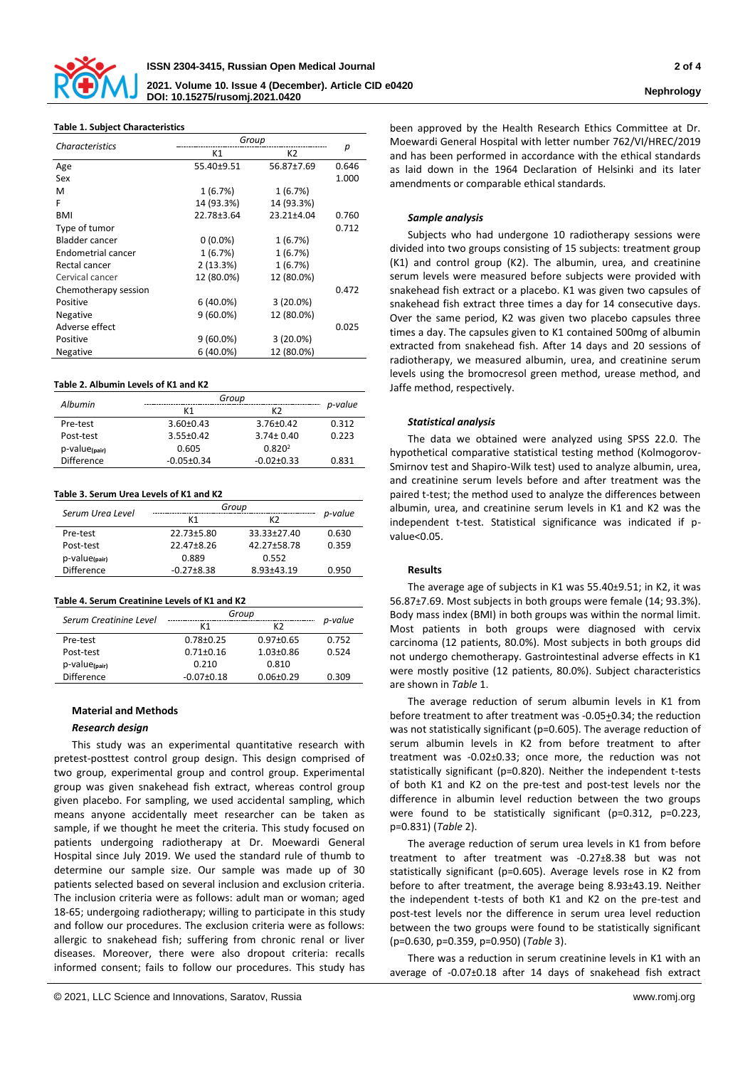

| <b>Characteristics</b> | Group       |                |       |
|------------------------|-------------|----------------|-------|
|                        | K1          | K2             | р     |
| Age                    | 55.40±9.51  | 56.87±7.69     | 0.646 |
| Sex                    |             |                | 1.000 |
| м                      | 1(6.7%)     | 1(6.7%)        |       |
| F                      | 14 (93.3%)  | 14 (93.3%)     |       |
| <b>BMI</b>             | 22.78±3.64  | $23.21 + 4.04$ | 0.760 |
| Type of tumor          |             |                | 0.712 |
| Bladder cancer         | $0(0.0\%)$  | 1(6.7%)        |       |
| Endometrial cancer     | 1(6.7%)     | 1(6.7%)        |       |
| Rectal cancer          | 2(13.3%)    | 1(6.7%)        |       |
| Cervical cancer        | 12 (80.0%)  | 12 (80.0%)     |       |
| Chemotherapy session   |             |                | 0.472 |
| Positive               | $6(40.0\%)$ | $3(20.0\%)$    |       |
| Negative               | $9(60.0\%)$ | 12 (80.0%)     |       |
| Adverse effect         |             |                | 0.025 |
| Positive               | $9(60.0\%)$ | $3(20.0\%)$    |       |
| Negative               | $6(40.0\%)$ | 12 (80.0%)     |       |

#### **Table 2. Albumin Levels of K1 and K2**

| Albumin                       | Group            |                    |         |
|-------------------------------|------------------|--------------------|---------|
|                               | К1               | K <sub>2</sub>     | p-value |
| Pre-test                      | $3.60 \pm 0.43$  | $3.76 \pm 0.42$    | 0.312   |
| Post-test                     | $3.55 \pm 0.42$  | $3.74 \pm 0.40$    | 0.223   |
| $p$ -value $_{\text{(pair)}}$ | 0.605            | 0.820 <sup>2</sup> |         |
| <b>Difference</b>             | $-0.05 \pm 0.34$ | $-0.02 \pm 0.33$   | 0.831   |

# **Table 3. Serum Urea Levels of K1 and K2**

| Serum Urea Level       | Group            |                |         |
|------------------------|------------------|----------------|---------|
|                        | K1               | K <sub>2</sub> | p-value |
| Pre-test               | 22.73±5.80       | 33.33±27.40    | 0.630   |
| Post-test              | $22.47 \pm 8.26$ | 42.27±58.78    | 0.359   |
| $p$ -value $_{(pair)}$ | 0.889            | 0.552          |         |
| <b>Difference</b>      | $-0.27 \pm 8.38$ | $8.93 + 43.19$ | 0.950   |

#### **Table 4. Serum Creatinine Levels of K1 and K2**

| Serum Creatinine Level        | Group            |                 |         |
|-------------------------------|------------------|-----------------|---------|
|                               | K1               | K <sub>2</sub>  | p-value |
| Pre-test                      | $0.78 \pm 0.25$  | $0.97 \pm 0.65$ | 0.752   |
| Post-test                     | $0.71 \pm 0.16$  | $1.03 + 0.86$   | 0.524   |
| $p$ -value $_{\text{(pair)}}$ | 0.210            | 0.810           |         |
| <b>Difference</b>             | $-0.07 \pm 0.18$ | $0.06 \pm 0.29$ | 0.309   |

#### **Material and Methods**

# *Research design*

This study was an experimental quantitative research with pretest-posttest control group design. This design comprised of two group, experimental group and control group. Experimental group was given snakehead fish extract, whereas control group given placebo. For sampling, we used accidental sampling, which means anyone accidentally meet researcher can be taken as sample, if we thought he meet the criteria. This study focused on patients undergoing radiotherapy at Dr. Moewardi General Hospital since July 2019. We used the standard rule of thumb to determine our sample size. Our sample was made up of 30 patients selected based on several inclusion and exclusion criteria. The inclusion criteria were as follows: adult man or woman; aged 18-65; undergoing radiotherapy; willing to participate in this study and follow our procedures. The exclusion criteria were as follows: allergic to snakehead fish; suffering from chronic renal or liver diseases. Moreover, there were also dropout criteria: recalls informed consent; fails to follow our procedures. This study has

been approved by the Health Research Ethics Committee at Dr. Moewardi General Hospital with letter number 762/VI/HREC/2019 and has been performed in accordance with the ethical standards as laid down in the 1964 Declaration of Helsinki and its later amendments or comparable ethical standards.

# *Sample analysis*

Subjects who had undergone 10 radiotherapy sessions were divided into two groups consisting of 15 subjects: treatment group (K1) and control group (K2). The albumin, urea, and creatinine serum levels were measured before subjects were provided with snakehead fish extract or a placebo. K1 was given two capsules of snakehead fish extract three times a day for 14 consecutive days. Over the same period, K2 was given two placebo capsules three times a day. The capsules given to K1 contained 500mg of albumin extracted from snakehead fish. After 14 days and 20 sessions of radiotherapy, we measured albumin, urea, and creatinine serum levels using the bromocresol green method, urease method, and Jaffe method, respectively.

#### *Statistical analysis*

The data we obtained were analyzed using SPSS 22.0. The hypothetical comparative statistical testing method (Kolmogorov-Smirnov test and Shapiro-Wilk test) used to analyze albumin, urea, and creatinine serum levels before and after treatment was the paired t-test; the method used to analyze the differences between albumin, urea, and creatinine serum levels in K1 and K2 was the independent t-test. Statistical significance was indicated if pvalue<0.05.

# **Results**

The average age of subjects in K1 was 55.40±9.51; in K2, it was 56.87±7.69. Most subjects in both groups were female (14; 93.3%). Body mass index (BMI) in both groups was within the normal limit. Most patients in both groups were diagnosed with cervix carcinoma (12 patients, 80.0%). Most subjects in both groups did not undergo chemotherapy. Gastrointestinal adverse effects in K1 were mostly positive (12 patients, 80.0%). Subject characteristics are shown in *Table* 1.

The average reduction of serum albumin levels in K1 from before treatment to after treatment was -0.05+0.34; the reduction was not statistically significant (p=0.605). The average reduction of serum albumin levels in K2 from before treatment to after treatment was -0.02±0.33; once more, the reduction was not statistically significant (p=0.820). Neither the independent t-tests of both K1 and K2 on the pre-test and post-test levels nor the difference in albumin level reduction between the two groups were found to be statistically significant (p=0.312, p=0.223, p=0.831) (*Table* 2).

The average reduction of serum urea levels in K1 from before treatment to after treatment was -0.27±8.38 but was not statistically significant (p=0.605). Average levels rose in K2 from before to after treatment, the average being 8.93±43.19. Neither the independent t-tests of both K1 and K2 on the pre-test and post-test levels nor the difference in serum urea level reduction between the two groups were found to be statistically significant (p=0.630, p=0.359, p=0.950) (*Table* 3).

There was a reduction in serum creatinine levels in K1 with an average of -0.07±0.18 after 14 days of snakehead fish extract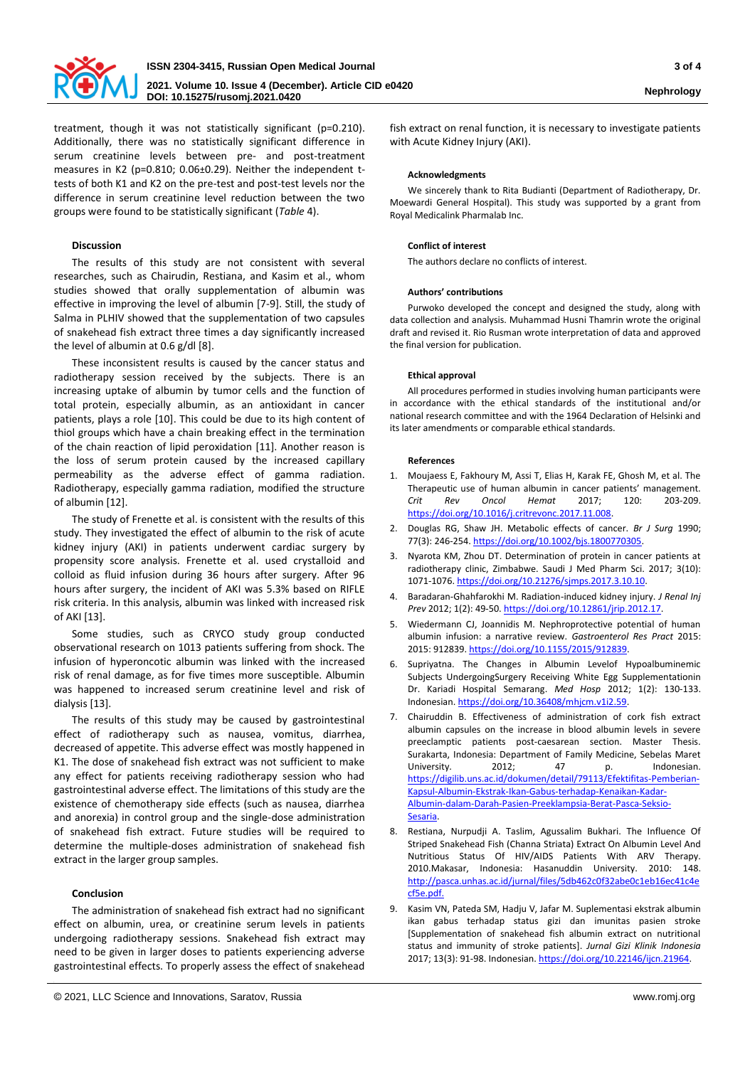

treatment, though it was not statistically significant (p=0.210). Additionally, there was no statistically significant difference in serum creatinine levels between pre- and post-treatment measures in K2 (p=0.810; 0.06±0.29). Neither the independent ttests of both K1 and K2 on the pre-test and post-test levels nor the difference in serum creatinine level reduction between the two groups were found to be statistically significant (*Table* 4).

# **Discussion**

The results of this study are not consistent with several researches, such as Chairudin, Restiana, and Kasim et al., whom studies showed that orally supplementation of albumin was effective in improving the level of albumin [7-9]. Still, the study of Salma in PLHIV showed that the supplementation of two capsules of snakehead fish extract three times a day significantly increased the level of albumin at 0.6 g/dl [8].

These inconsistent results is caused by the cancer status and radiotherapy session received by the subjects. There is an increasing uptake of albumin by tumor cells and the function of total protein, especially albumin, as an antioxidant in cancer patients, plays a role [10]. This could be due to its high content of thiol groups which have a chain breaking effect in the termination of the chain reaction of lipid peroxidation [11]. Another reason is the loss of serum protein caused by the increased capillary permeability as the adverse effect of gamma radiation. Radiotherapy, especially gamma radiation, modified the structure of albumin [12].

The study of Frenette et al. is consistent with the results of this study. They investigated the effect of albumin to the risk of acute kidney injury (AKI) in patients underwent cardiac surgery by propensity score analysis. Frenette et al. used crystalloid and colloid as fluid infusion during 36 hours after surgery. After 96 hours after surgery, the incident of AKI was 5.3% based on RIFLE risk criteria. In this analysis, albumin was linked with increased risk of AKI [13].

Some studies, such as CRYCO study group conducted observational research on 1013 patients suffering from shock. The infusion of hyperoncotic albumin was linked with the increased risk of renal damage, as for five times more susceptible. Albumin was happened to increased serum creatinine level and risk of dialysis [13].

The results of this study may be caused by gastrointestinal effect of radiotherapy such as nausea, vomitus, diarrhea, decreased of appetite. This adverse effect was mostly happened in K1. The dose of snakehead fish extract was not sufficient to make any effect for patients receiving radiotherapy session who had gastrointestinal adverse effect. The limitations of this study are the existence of chemotherapy side effects (such as nausea, diarrhea and anorexia) in control group and the single-dose administration of snakehead fish extract. Future studies will be required to determine the multiple-doses administration of snakehead fish extract in the larger group samples.

# **Conclusion**

The administration of snakehead fish extract had no significant effect on albumin, urea, or creatinine serum levels in patients undergoing radiotherapy sessions. Snakehead fish extract may need to be given in larger doses to patients experiencing adverse gastrointestinal effects. To properly assess the effect of snakehead

fish extract on renal function, it is necessary to investigate patients with Acute Kidney Injury (AKI).

# **Acknowledgments**

We sincerely thank to Rita Budianti (Department of Radiotherapy, Dr. Moewardi General Hospital). This study was supported by a grant from Royal Medicalink Pharmalab Inc.

# **Conflict of interest**

The authors declare no conflicts of interest.

# **Authors' contributions**

Purwoko developed the concept and designed the study, along with data collection and analysis. Muhammad Husni Thamrin wrote the original draft and revised it. Rio Rusman wrote interpretation of data and approved the final version for publication.

# **Ethical approval**

All procedures performed in studies involving human participants were in accordance with the ethical standards of the institutional and/or national research committee and with the 1964 Declaration of Helsinki and its later amendments or comparable ethical standards.

# **References**

- 1. Moujaess E, Fakhoury M, Assi T, Elias H, Karak FE, Ghosh M, et al. The Therapeutic use of human albumin in cancer patients' management. *Crit Rev Oncol Hemat* 2017; 120: 203-209. [https://doi.org/10.1016/j.critrevonc.2017.11.008.](https://doi.org/10.1016/j.critrevonc.2017.11.008)
- 2. Douglas RG, Shaw JH. Metabolic effects of cancer. *Br J Surg* 1990; 77(3): 246-254[. https://doi.org/10.1002/bjs.1800770305.](https://doi.org/10.1002/bjs.1800770305)
- 3. Nyarota KM, Zhou DT. Determination of protein in cancer patients at radiotherapy clinic, Zimbabwe. Saudi J Med Pharm Sci. 2017; 3(10): 1071-1076[. https://doi.org/10.21276/sjmps.2017.3.10.10.](https://doi.org/10.21276/sjmps.2017.3.10.10)
- 4. Baradaran-Ghahfarokhi M. Radiation-induced kidney injury. *J Renal Inj Prev* 2012; 1(2): 49-50[. https://doi.org/10.12861/jrip.2012.17.](https://doi.org/10.12861/jrip.2012.17)
- 5. Wiedermann CJ, Joannidis M. Nephroprotective potential of human albumin infusion: a narrative review. *Gastroenterol Res Pract* 2015: 2015: 912839[. https://doi.org/10.1155/2015/912839.](https://doi.org/10.1155/2015/912839)
- 6. Supriyatna. The Changes in Albumin Levelof Hypoalbuminemic Subjects UndergoingSurgery Receiving White Egg Supplementationin Dr. Kariadi Hospital Semarang. *Med Hosp* 2012; 1(2): 130-133. Indonesian. [https://doi.org/10.36408/mhjcm.v1i2.59.](https://doi.org/10.36408/mhjcm.v1i2.59)
- 7. Chairuddin B. Effectiveness of administration of cork fish extract albumin capsules on the increase in blood albumin levels in severe preeclamptic patients post-caesarean section. Master Thesis. Surakarta, Indonesia: Department of Family Medicine, Sebelas Maret University. 2012: 47 p. Indonesian. [https://digilib.uns.ac.id/dokumen/detail/79113/Efektifitas-Pemberian-](https://digilib.uns.ac.id/dokumen/detail/79113/Efektifitas-Pemberian-Kapsul-Albumin-Ekstrak-Ikan-Gabus-terhadap-Kenaikan-Kadar-Albumin-dalam-Darah-Pasien-Preeklampsia-Berat-Pasca-Seksio-Sesaria)[Kapsul-Albumin-Ekstrak-Ikan-Gabus-terhadap-Kenaikan-Kadar-](https://digilib.uns.ac.id/dokumen/detail/79113/Efektifitas-Pemberian-Kapsul-Albumin-Ekstrak-Ikan-Gabus-terhadap-Kenaikan-Kadar-Albumin-dalam-Darah-Pasien-Preeklampsia-Berat-Pasca-Seksio-Sesaria)[Albumin-dalam-Darah-Pasien-Preeklampsia-Berat-Pasca-Seksio-](https://digilib.uns.ac.id/dokumen/detail/79113/Efektifitas-Pemberian-Kapsul-Albumin-Ekstrak-Ikan-Gabus-terhadap-Kenaikan-Kadar-Albumin-dalam-Darah-Pasien-Preeklampsia-Berat-Pasca-Seksio-Sesaria)[Sesaria.](https://digilib.uns.ac.id/dokumen/detail/79113/Efektifitas-Pemberian-Kapsul-Albumin-Ekstrak-Ikan-Gabus-terhadap-Kenaikan-Kadar-Albumin-dalam-Darah-Pasien-Preeklampsia-Berat-Pasca-Seksio-Sesaria)
- Restiana, Nurpudji A. Taslim, Agussalim Bukhari. The Influence Of Striped Snakehead Fish (Channa Striata) Extract On Albumin Level And Nutritious Status Of HIV/AIDS Patients With ARV Therapy. 2010.Makasar, Indonesia: Hasanuddin University. 2010: 148. [http://pasca.unhas.ac.id/jurnal/files/5db462c0f32abe0c1eb16ec41c4e](http://pasca.unhas.ac.id/jurnal/files/5db462c0f32abe0c1eb16ec41c4ecf5e.pdf) [cf5e.pdf.](http://pasca.unhas.ac.id/jurnal/files/5db462c0f32abe0c1eb16ec41c4ecf5e.pdf)
- 9. Kasim VN, Pateda SM, Hadju V, Jafar M. Suplementasi ekstrak albumin ikan gabus terhadap status gizi dan imunitas pasien stroke [Supplementation of snakehead fish albumin extract on nutritional status and immunity of stroke patients]. *Jurnal Gizi Klinik Indonesia* 2017; 13(3): 91-98. Indonesian[. https://doi.org/10.22146/ijcn.21964.](https://doi.org/10.22146/ijcn.21964)